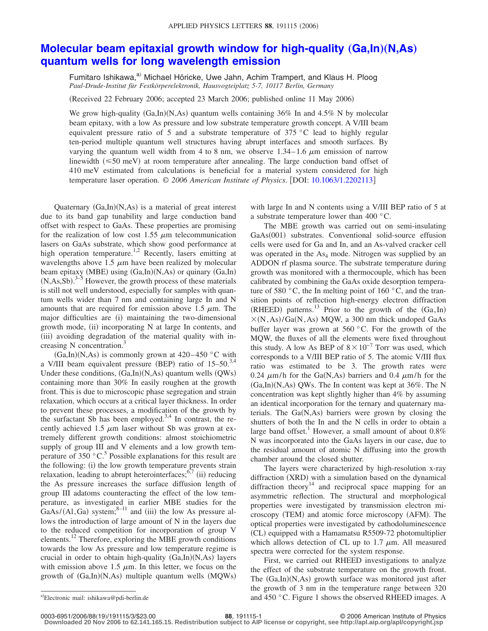## **[Molecular beam epitaxial growth window for high-quality](http://dx.doi.org/10.1063/1.2202113) (Ga,In)(N,As) [quantum wells for long wavelength emission](http://dx.doi.org/10.1063/1.2202113)**

Fumitaro Ishikawa,<sup>a)</sup> Michael Höricke, Uwe Jahn, Achim Trampert, and Klaus H. Ploog *Paul-Drude-Institut für Festkörperelektronik, Hausvogteiplatz 5-7, 10117 Berlin, Germany*

(Received 22 February 2006; accepted 23 March 2006; published online 11 May 2006)

We grow high-quality  $(Ga, In)(N, As)$  quantum wells containing 36% In and 4.5% N by molecular beam epitaxy, with a low As pressure and low substrate temperature growth concept. A V/III beam equivalent pressure ratio of 5 and a substrate temperature of 375 °C lead to highly regular ten-period multiple quantum well structures having abrupt interfaces and smooth surfaces. By varying the quantum well width from 4 to 8 nm, we observe  $1.34-1.6 \mu m$  emission of narrow linewidth  $(\leq 50 \text{ meV})$  at room temperature after annealing. The large conduction band offset of 410 meV estimated from calculations is beneficial for a material system considered for high temperature laser operation. © *2006 American Institute of Physics*. DOI: [10.1063/1.2202113](http://dx.doi.org/10.1063/1.2202113)

Quaternary (Ga,In)(N,As) is a material of great interest due to its band gap tunability and large conduction band offset with respect to GaAs. These properties are promising for the realization of low cost 1.55  $\mu$ m telecommunication lasers on GaAs substrate, which show good performance at high operation temperature.<sup>1,2</sup> Recently, lasers emitting at wavelengths above  $1.5 \mu m$  have been realized by molecular beam epitaxy (MBE) using (Ga,In)(N,As) or quinary (Ga,In)  $(N, As, Sb).$ <sup>3-5</sup> However, the growth process of these materials is still not well understood, especially for samples with quantum wells wider than 7 nm and containing large In and N amounts that are required for emission above 1.5  $\mu$ m. The major difficulties are (i) maintaining the two-dimensional growth mode, (ii) incorporating N at large In contents, and (iii) avoiding degradation of the material quality with increasing N concentration.<sup>3</sup>

 $(Ga, In)(N, As)$  is commonly grown at 420–450 °C with a V/III beam equivalent pressure (BEP) ratio of  $15-50$ .<sup>3,4</sup> Under these conditions,  $(Ga, In)(N, As)$  quantum wells  $(QWs)$ containing more than 30% In easily roughen at the growth front. This is due to microscopic phase segregation and strain relaxation, which occurs at a critical layer thickness. In order to prevent these processes, a modification of the growth by the surfactant Sb has been employed.<sup>3,4</sup> In contrast, the recently achieved 1.5  $\mu$ m laser without Sb was grown at extremely different growth conditions: almost stoichiometric supply of group III and V elements and a low growth temperature of  $350\degree \text{C}^5$ . Possible explanations for this result are the following: (i) the low growth temperature prevents strain relaxation, leading to abrupt heterointerfaces; $67$  (ii) reducing the As pressure increases the surface diffusion length of group III adatoms counteracting the effect of the low temperature, as investigated in earlier MBE studies for the  $GaAs/(Al, Ga)$  system;<sup>8–11</sup> and (iii) the low As pressure allows the introduction of large amount of N in the layers due to the reduced competition for incorporation of group V elements.12 Therefore, exploring the MBE growth conditions towards the low As pressure and low temperature regime is crucial in order to obtain high-quality (Ga,In)(N,As) layers with emission above 1.5  $\mu$ m. In this letter, we focus on the growth of  $(Ga, In)(N, As)$  multiple quantum wells  $(MQWs)$ 

with large In and N contents using a V/III BEP ratio of 5 at a substrate temperature lower than 400 °C.

The MBE growth was carried out on semi-insulating GaAs(001) substrates. Conventional solid-source effusion cells were used for Ga and In, and an As-valved cracker cell was operated in the  $As<sub>4</sub>$  mode. Nitrogen was supplied by an ADDON rf plasma source. The substrate temperature during growth was monitored with a thermocouple, which has been calibrated by combining the GaAs oxide desorption temperature of 580  $\degree$ C, the In melting point of 160  $\degree$ C, and the transition points of reflection high-energy electron diffraction  $(RHEED)$  patterns.<sup>13</sup> Prior to the growth of the  $(Ga, In)$  $\times$ (N,As)/Ga(N,As) MQW, a 300 nm thick undoped GaAs buffer layer was grown at 560 °C. For the growth of the MQW, the fluxes of all the elements were fixed throughout this study. A low As BEP of  $8 \times 10^{-7}$  Torr was used, which corresponds to a V/III BEP ratio of 5. The atomic V/III flux ratio was estimated to be 3. The growth rates were 0.24  $\mu$ m/h for the Ga(N,As) barriers and 0.4  $\mu$ m/h for the (Ga,In)(N,As) QWs. The In content was kept at 36%. The N concentration was kept slightly higher than 4% by assuming an identical incorporation for the ternary and quaternary materials. The  $Ga(N, As)$  barriers were grown by closing the shutters of both the In and the N cells in order to obtain a large band offset.<sup>1</sup> However, a small amount of about  $0.8\%$ N was incorporated into the GaAs layers in our case, due to the residual amount of atomic N diffusing into the growth chamber around the closed shutter.

The layers were characterized by high-resolution x-ray diffraction (XRD) with a simulation based on the dynamical diffraction theory<sup>14</sup> and reciprocal space mapping for an asymmetric reflection. The structural and morphological properties were investigated by transmission electron microscopy (TEM) and atomic force microscopy (AFM). The optical properties were investigated by cathodoluminescence (CL) equipped with a Hamamatsu R5509-72 photomultiplier which allows detection of CL up to 1.7  $\mu$ m. All measured spectra were corrected for the system response.

First, we carried out RHEED investigations to analyze the effect of the substrate temperature on the growth front. The (Ga,In)(N,As) growth surface was monitored just after the growth of 3 nm in the temperature range between 320 and 450  $\degree$ C. Figure 1 shows the observed RHEED images. A

19/191115/3/\$23.00 © 2006 American Institute of Physics **88**, 191115-1 **Downloaded 20 Nov 2006 to 62.141.165.15. Redistribution subject to AIP license or copyright, see http://apl.aip.org/apl/copyright.jsp**

Electronic mail: ishikawa@pdi-berlin.de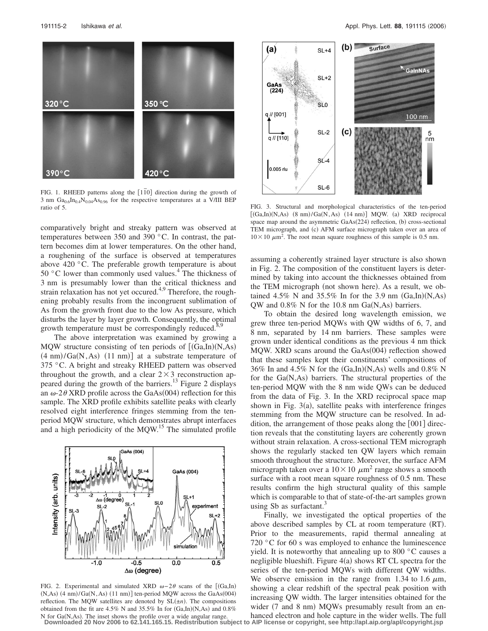

FIG. 1. RHEED patterns along the  $[1\bar{1}0]$  direction during the growth of 3 nm  $Ga_{0.6}In_{0.4}N_{0.04}As_{0.96}$  for the respective temperatures at a V/III BEP ratio of 5.

comparatively bright and streaky pattern was observed at temperatures between 350 and 390 °C. In contrast, the pattern becomes dim at lower temperatures. On the other hand, a roughening of the surface is observed at temperatures above 420 °C. The preferable growth temperature is about 50  $\degree$ C lower than commonly used values.<sup>4</sup> The thickness of 3 nm is presumably lower than the critical thickness and strain relaxation has not yet occured.<sup>4,9</sup> Therefore, the roughening probably results from the incongruent sublimation of As from the growth front due to the low As pressure, which disturbs the layer by layer growth. Consequently, the optimal growth temperature must be correspondingly reduced.<sup>8</sup>

The above interpretation was examined by growing a MQW structure consisting of ten periods of  $[(Ga, In)(N, As)]$  $(4 \text{ nm})$ /Ga $(N, As)$   $(11 \text{ nm})$ ] at a substrate temperature of 375 °C. A bright and streaky RHEED pattern was observed throughout the growth, and a clear  $2 \times 3$  reconstruction appeared during the growth of the barriers.<sup>13</sup> Figure 2 displays an  $\omega$ -2 $\theta$  XRD profile across the GaAs(004) reflection for this sample. The XRD profile exhibits satellite peaks with clearly resolved eight interference fringes stemming from the tenperiod MQW structure, which demonstrates abrupt interfaces and a high periodicity of the MQW.<sup>15</sup> The simulated profile



FIG. 2. Experimental and simulated XRD  $\omega - 2\theta$  scans of the [(Ga,In)  $(N, As)$  (4 nm)/Ga $(N, As)$  (11 nm)] ten-period MQW across the GaAs(004) reflection. The MQW satellites are denoted by  $SL(\pm n)$ . The compositions obtained from the fit are  $4.5\%$  N and  $35.5\%$  In for  $(Ga, In)(N, As)$  and  $0.8\%$ 



FIG. 3. Structural and morphological characteristics of the ten-period  $[(Ga, In)(N, As)$   $(8 \text{ nm})/Ga(N, As)$   $(14 \text{ nm})]$  MQW. (a) XRD reciprocal space map around the asymmetric GaAs(224) reflection, (b) cross-sectional TEM micrograph, and (c) AFM surface micrograph taken over an area of  $10 \times 10 \ \mu m^2$ . The root mean square roughness of this sample is 0.5 nm.

assuming a coherently strained layer structure is also shown in Fig. 2. The composition of the constituent layers is determined by taking into account the thicknesses obtained from the TEM micrograph (not shown here). As a result, we obtained  $4.5\%$  N and  $35.5\%$  In for the 3.9 nm  $(Ga, In)(N, As)$ QW and  $0.8\%$  N for the 10.8 nm Ga(N,As) barriers.

To obtain the desired long wavelength emission, we grew three ten-period MQWs with QW widths of 6, 7, and 8 nm, separated by 14 nm barriers. These samples were grown under identical conditions as the previous 4 nm thick MQW. XRD scans around the GaAs(004) reflection showed that these samples kept their constituents' compositions of 36% In and 4.5% N for the  $(Ga, In)(N, As)$  wells and 0.8% N for the Ga(N,As) barriers. The structural properties of the ten-period MQW with the 8 nm wide QWs can be deduced from the data of Fig. 3. In the XRD reciprocal space map shown in Fig.  $3(a)$ , satellite peaks with interference fringes stemming from the MQW structure can be resolved. In addition, the arrangement of those peaks along the  $[001]$  direction reveals that the constituting layers are coherently grown without strain relaxation. A cross-sectional TEM micrograph shows the regularly stacked ten QW layers which remain smooth throughout the structure. Moreover, the surface AFM micrograph taken over a  $10 \times 10 \ \mu m^2$  range shows a smooth surface with a root mean square roughness of 0.5 nm. These results confirm the high structural quality of this sample which is comparable to that of state-of-the-art samples grown using Sb as surfactant.<sup>3</sup>

Finally, we investigated the optical properties of the above described samples by CL at room temperature (RT). Prior to the measurements, rapid thermal annealing at 720 °C for 60 s was employed to enhance the luminescence yield. It is noteworthy that annealing up to 800 °C causes a negligible blueshift. Figure  $4(a)$  shows RT CL spectra for the series of the ten-period MQWs with different QW widths. We observe emission in the range from 1.34 to 1.6  $\mu$ m, showing a clear redshift of the spectral peak position with increasing QW width. The larger intensities obtained for the wider (7 and 8 nm) MQWs presumably result from an en-

N for Ga(N,As). The inset shows the profile over a wide angular range.<br>Downloaded 20 Nov 2006 to 62.141.165.15. Redistribution subject to AIP license or copyright, see http://apl.aip.org/apl/copyright.jsp